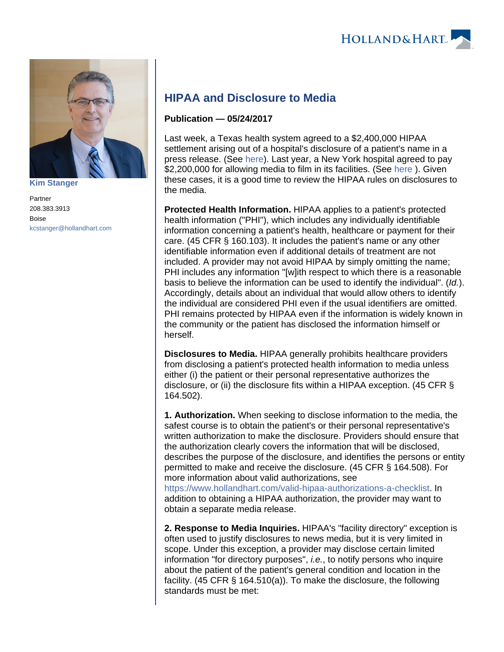

**[Kim Stanger](https://www.hollandhart.com/15954)**

Partner 208.383.3913 Boise [kcstanger@hollandhart.com](mailto:kcstanger@hollandhart.com)

## **HIPAA and Disclosure to Media**

## **Publication — 05/24/2017**

Last week, a Texas health system agreed to a \$2,400,000 HIPAA settlement arising out of a hospital's disclosure of a patient's name in a press release. (See [here](https://www.hhs.gov/hipaa/for-professionals/compliance-enforcement/agreements/MHHS/index.html)). Last year, a New York hospital agreed to pay \$2,200,000 for allowing media to film in its facilities. (See [here](https://www.hhs.gov/hipaa/for-professionals/compliance-enforcement/agreements/new-york-presbyterian-hospital/index.html) ). Given these cases, it is a good time to review the HIPAA rules on disclosures to the media.

**Protected Health Information.** HIPAA applies to a patient's protected health information ("PHI"), which includes any individually identifiable information concerning a patient's health, healthcare or payment for their care. (45 CFR § 160.103). It includes the patient's name or any other identifiable information even if additional details of treatment are not included. A provider may not avoid HIPAA by simply omitting the name; PHI includes any information "[w]ith respect to which there is a reasonable basis to believe the information can be used to identify the individual". (Id.). Accordingly, details about an individual that would allow others to identify the individual are considered PHI even if the usual identifiers are omitted. PHI remains protected by HIPAA even if the information is widely known in the community or the patient has disclosed the information himself or herself.

**Disclosures to Media.** HIPAA generally prohibits healthcare providers from disclosing a patient's protected health information to media unless either (i) the patient or their personal representative authorizes the disclosure, or (ii) the disclosure fits within a HIPAA exception. (45 CFR § 164.502).

**1. Authorization.** When seeking to disclose information to the media, the safest course is to obtain the patient's or their personal representative's written authorization to make the disclosure. Providers should ensure that the authorization clearly covers the information that will be disclosed, describes the purpose of the disclosure, and identifies the persons or entity permitted to make and receive the disclosure. (45 CFR § 164.508). For more information about valid authorizations, see

<https://www.hollandhart.com/valid-hipaa-authorizations-a-checklist>. In addition to obtaining a HIPAA authorization, the provider may want to obtain a separate media release.

**2. Response to Media Inquiries.** HIPAA's "facility directory" exception is often used to justify disclosures to news media, but it is very limited in scope. Under this exception, a provider may disclose certain limited information "for directory purposes", *i.e.*, to notify persons who inquire about the patient of the patient's general condition and location in the facility. (45 CFR § 164.510(a)). To make the disclosure, the following standards must be met: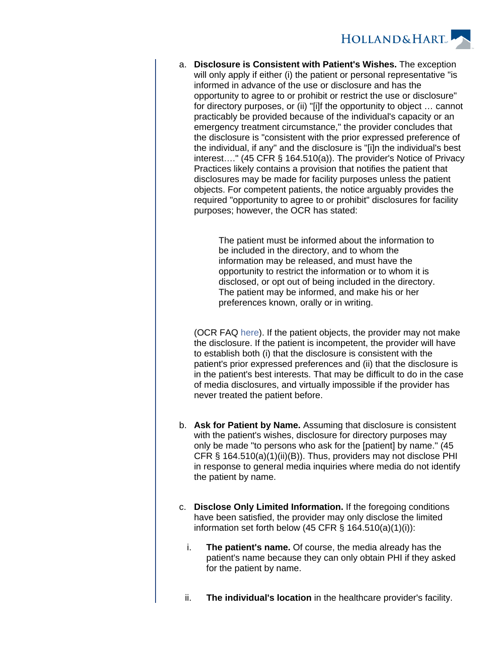

a. **Disclosure is Consistent with Patient's Wishes.** The exception will only apply if either (i) the patient or personal representative "is informed in advance of the use or disclosure and has the opportunity to agree to or prohibit or restrict the use or disclosure" for directory purposes, or (ii) "[i]f the opportunity to object … cannot practicably be provided because of the individual's capacity or an emergency treatment circumstance," the provider concludes that the disclosure is "consistent with the prior expressed preference of the individual, if any" and the disclosure is "[i]n the individual's best interest…." (45 CFR § 164.510(a)). The provider's Notice of Privacy Practices likely contains a provision that notifies the patient that disclosures may be made for facility purposes unless the patient objects. For competent patients, the notice arguably provides the required "opportunity to agree to or prohibit" disclosures for facility purposes; however, the OCR has stated:

> The patient must be informed about the information to be included in the directory, and to whom the information may be released, and must have the opportunity to restrict the information or to whom it is disclosed, or opt out of being included in the directory. The patient may be informed, and make his or her preferences known, orally or in writing.

(OCR FAQ [here\)](https://www.hhs.gov/hipaa/for-professionals/faq/483/does-hipaa-permit-hospitals-to-inform-visitors-about-a-patients-location/index.html). If the patient objects, the provider may not make the disclosure. If the patient is incompetent, the provider will have to establish both (i) that the disclosure is consistent with the patient's prior expressed preferences and (ii) that the disclosure is in the patient's best interests. That may be difficult to do in the case of media disclosures, and virtually impossible if the provider has never treated the patient before.

- b. **Ask for Patient by Name.** Assuming that disclosure is consistent with the patient's wishes, disclosure for directory purposes may only be made "to persons who ask for the [patient] by name." (45 CFR § 164.510(a)(1)(ii)(B)). Thus, providers may not disclose PHI in response to general media inquiries where media do not identify the patient by name.
- c. **Disclose Only Limited Information.** If the foregoing conditions have been satisfied, the provider may only disclose the limited information set forth below (45 CFR  $\S$  164.510(a)(1)(i)):
	- i. **The patient's name.** Of course, the media already has the patient's name because they can only obtain PHI if they asked for the patient by name.
- ii. **The individual's location** in the healthcare provider's facility.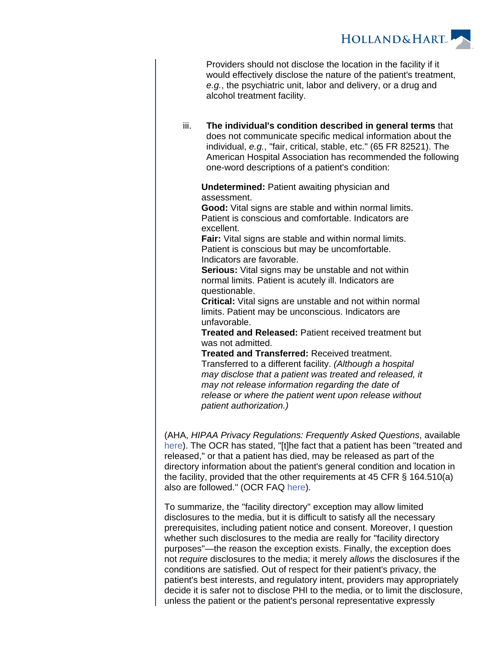

Providers should not disclose the location in the facility if it would effectively disclose the nature of the patient's treatment, e.g., the psychiatric unit, labor and delivery, or a drug and alcohol treatment facility.

iii. **The individual's condition described in general terms** that does not communicate specific medical information about the individual, e.g., "fair, critical, stable, etc." (65 FR 82521). The American Hospital Association has recommended the following one-word descriptions of a patient's condition:

**Undetermined:** Patient awaiting physician and assessment.

**Good:** Vital signs are stable and within normal limits. Patient is conscious and comfortable. Indicators are excellent.

**Fair:** Vital signs are stable and within normal limits. Patient is conscious but may be uncomfortable. Indicators are favorable.

**Serious:** Vital signs may be unstable and not within normal limits. Patient is acutely ill. Indicators are questionable.

**Critical:** Vital signs are unstable and not within normal limits. Patient may be unconscious. Indicators are unfavorable.

**Treated and Released:** Patient received treatment but was not admitted.

**Treated and Transferred:** Received treatment. Transferred to a different facility. (Although a hospital may disclose that a patient was treated and released, it may not release information regarding the date of release or where the patient went upon release without patient authorization.)

(AHA, HIPAA Privacy Regulations: Frequently Asked Questions, available [here\)](http://www.aha.org/content/00-10/frequentlyaskedquestions0302.pdf). The OCR has stated, "[t]he fact that a patient has been "treated and released," or that a patient has died, may be released as part of the directory information about the patient's general condition and location in the facility, provided that the other requirements at 45 CFR § 164.510(a) also are followed." (OCR FAQ [here](https://www.hhs.gov/hipaa/for-professionals/faq/485/can-a-patients-release-status-be-part-of-the-facility-directory/index.html)).

To summarize, the "facility directory" exception may allow limited disclosures to the media, but it is difficult to satisfy all the necessary prerequisites, including patient notice and consent. Moreover, I question whether such disclosures to the media are really for "facility directory purposes"—the reason the exception exists. Finally, the exception does not require disclosures to the media; it merely allows the disclosures if the conditions are satisfied. Out of respect for their patient's privacy, the patient's best interests, and regulatory intent, providers may appropriately decide it is safer not to disclose PHI to the media, or to limit the disclosure, unless the patient or the patient's personal representative expressly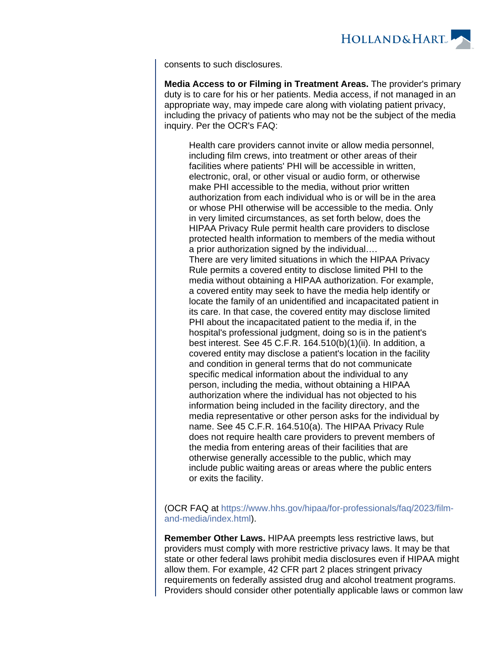

consents to such disclosures.

**Media Access to or Filming in Treatment Areas.** The provider's primary duty is to care for his or her patients. Media access, if not managed in an appropriate way, may impede care along with violating patient privacy, including the privacy of patients who may not be the subject of the media inquiry. Per the OCR's FAQ:

Health care providers cannot invite or allow media personnel, including film crews, into treatment or other areas of their facilities where patients' PHI will be accessible in written, electronic, oral, or other visual or audio form, or otherwise make PHI accessible to the media, without prior written authorization from each individual who is or will be in the area or whose PHI otherwise will be accessible to the media. Only in very limited circumstances, as set forth below, does the HIPAA Privacy Rule permit health care providers to disclose protected health information to members of the media without a prior authorization signed by the individual…. There are very limited situations in which the HIPAA Privacy Rule permits a covered entity to disclose limited PHI to the media without obtaining a HIPAA authorization. For example, a covered entity may seek to have the media help identify or locate the family of an unidentified and incapacitated patient in its care. In that case, the covered entity may disclose limited PHI about the incapacitated patient to the media if, in the hospital's professional judgment, doing so is in the patient's best interest. See 45 C.F.R. 164.510(b)(1)(ii). In addition, a covered entity may disclose a patient's location in the facility and condition in general terms that do not communicate specific medical information about the individual to any person, including the media, without obtaining a HIPAA authorization where the individual has not objected to his information being included in the facility directory, and the media representative or other person asks for the individual by name. See 45 C.F.R. 164.510(a). The HIPAA Privacy Rule does not require health care providers to prevent members of the media from entering areas of their facilities that are otherwise generally accessible to the public, which may include public waiting areas or areas where the public enters or exits the facility.

(OCR FAQ at [https://www.hhs.gov/hipaa/for-professionals/faq/2023/film](https://www.hhs.gov/hipaa/for-professionals/faq/2023/film-and-media/index.html)[and-media/index.html\)](https://www.hhs.gov/hipaa/for-professionals/faq/2023/film-and-media/index.html).

**Remember Other Laws.** HIPAA preempts less restrictive laws, but providers must comply with more restrictive privacy laws. It may be that state or other federal laws prohibit media disclosures even if HIPAA might allow them. For example, 42 CFR part 2 places stringent privacy requirements on federally assisted drug and alcohol treatment programs. Providers should consider other potentially applicable laws or common law